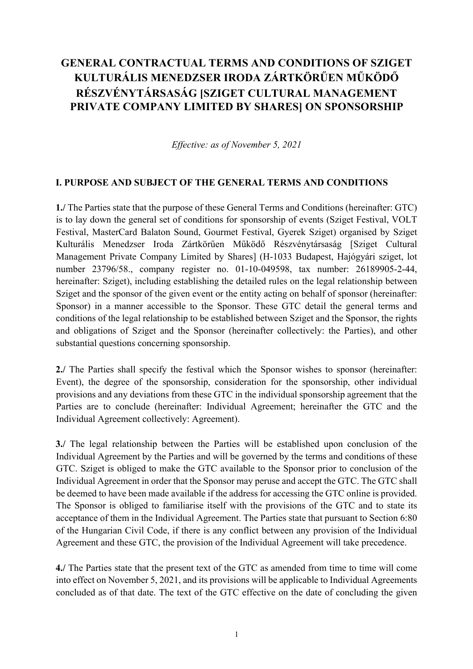# **GENERAL CONTRACTUAL TERMS AND CONDITIONS OF SZIGET KULTURÁLIS MENEDZSER IRODA ZÁRTKÖRŰEN MŰKÖDŐ RÉSZVÉNYTÁRSASÁG [SZIGET CULTURAL MANAGEMENT PRIVATE COMPANY LIMITED BY SHARES] ON SPONSORSHIP**

*Effective: as of November 5, 2021*

#### **I. PURPOSE AND SUBJECT OF THE GENERAL TERMS AND CONDITIONS**

**1./** The Parties state that the purpose of these General Terms and Conditions (hereinafter: GTC) is to lay down the general set of conditions for sponsorship of events (Sziget Festival, VOLT Festival, MasterCard Balaton Sound, Gourmet Festival, Gyerek Sziget) organised by Sziget Kulturális Menedzser Iroda Zártkörűen Működő Részvénytársaság [Sziget Cultural Management Private Company Limited by Shares] (H-1033 Budapest, Hajógyári sziget, lot number 23796/58., company register no. 01-10-049598, tax number: 26189905-2-44, hereinafter: Sziget), including establishing the detailed rules on the legal relationship between Sziget and the sponsor of the given event or the entity acting on behalf of sponsor (hereinafter: Sponsor) in a manner accessible to the Sponsor. These GTC detail the general terms and conditions of the legal relationship to be established between Sziget and the Sponsor, the rights and obligations of Sziget and the Sponsor (hereinafter collectively: the Parties), and other substantial questions concerning sponsorship.

**2./** The Parties shall specify the festival which the Sponsor wishes to sponsor (hereinafter: Event), the degree of the sponsorship, consideration for the sponsorship, other individual provisions and any deviations from these GTC in the individual sponsorship agreement that the Parties are to conclude (hereinafter: Individual Agreement; hereinafter the GTC and the Individual Agreement collectively: Agreement).

**3./** The legal relationship between the Parties will be established upon conclusion of the Individual Agreement by the Parties and will be governed by the terms and conditions of these GTC. Sziget is obliged to make the GTC available to the Sponsor prior to conclusion of the Individual Agreement in order that the Sponsor may peruse and accept the GTC. The GTC shall be deemed to have been made available if the address for accessing the GTC online is provided. The Sponsor is obliged to familiarise itself with the provisions of the GTC and to state its acceptance of them in the Individual Agreement. The Parties state that pursuant to Section 6:80 of the Hungarian Civil Code, if there is any conflict between any provision of the Individual Agreement and these GTC, the provision of the Individual Agreement will take precedence.

**4./** The Parties state that the present text of the GTC as amended from time to time will come into effect on November 5, 2021, and its provisions will be applicable to Individual Agreements concluded as of that date. The text of the GTC effective on the date of concluding the given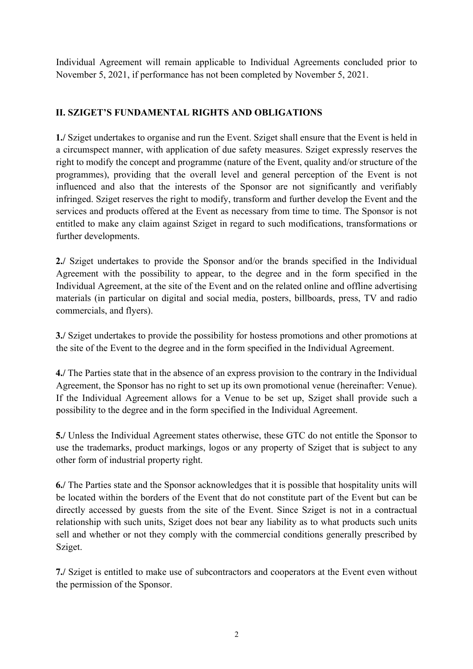Individual Agreement will remain applicable to Individual Agreements concluded prior to November 5, 2021, if performance has not been completed by November 5, 2021.

# **II. SZIGET'S FUNDAMENTAL RIGHTS AND OBLIGATIONS**

**1./** Sziget undertakes to organise and run the Event. Sziget shall ensure that the Event is held in a circumspect manner, with application of due safety measures. Sziget expressly reserves the right to modify the concept and programme (nature of the Event, quality and/or structure of the programmes), providing that the overall level and general perception of the Event is not influenced and also that the interests of the Sponsor are not significantly and verifiably infringed. Sziget reserves the right to modify, transform and further develop the Event and the services and products offered at the Event as necessary from time to time. The Sponsor is not entitled to make any claim against Sziget in regard to such modifications, transformations or further developments.

**2./** Sziget undertakes to provide the Sponsor and/or the brands specified in the Individual Agreement with the possibility to appear, to the degree and in the form specified in the Individual Agreement, at the site of the Event and on the related online and offline advertising materials (in particular on digital and social media, posters, billboards, press, TV and radio commercials, and flyers).

**3./** Sziget undertakes to provide the possibility for hostess promotions and other promotions at the site of the Event to the degree and in the form specified in the Individual Agreement.

**4./** The Parties state that in the absence of an express provision to the contrary in the Individual Agreement, the Sponsor has no right to set up its own promotional venue (hereinafter: Venue). If the Individual Agreement allows for a Venue to be set up, Sziget shall provide such a possibility to the degree and in the form specified in the Individual Agreement.

**5./** Unless the Individual Agreement states otherwise, these GTC do not entitle the Sponsor to use the trademarks, product markings, logos or any property of Sziget that is subject to any other form of industrial property right.

**6./** The Parties state and the Sponsor acknowledges that it is possible that hospitality units will be located within the borders of the Event that do not constitute part of the Event but can be directly accessed by guests from the site of the Event. Since Sziget is not in a contractual relationship with such units, Sziget does not bear any liability as to what products such units sell and whether or not they comply with the commercial conditions generally prescribed by Sziget.

**7./** Sziget is entitled to make use of subcontractors and cooperators at the Event even without the permission of the Sponsor.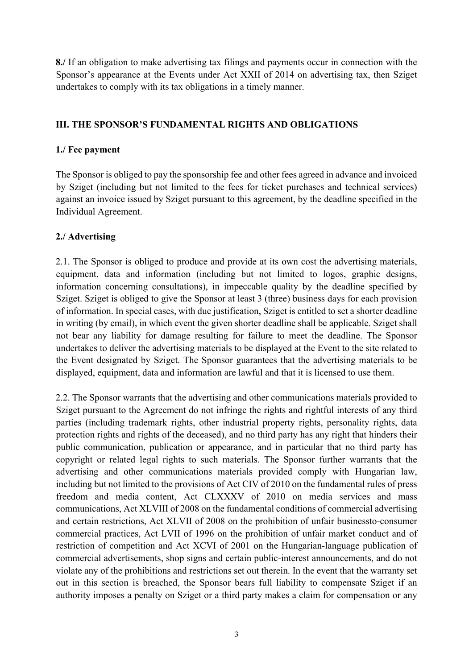**8./** If an obligation to make advertising tax filings and payments occur in connection with the Sponsor's appearance at the Events under Act XXII of 2014 on advertising tax, then Sziget undertakes to comply with its tax obligations in a timely manner.

#### **III. THE SPONSOR'S FUNDAMENTAL RIGHTS AND OBLIGATIONS**

## **1./ Fee payment**

The Sponsor is obliged to pay the sponsorship fee and other fees agreed in advance and invoiced by Sziget (including but not limited to the fees for ticket purchases and technical services) against an invoice issued by Sziget pursuant to this agreement, by the deadline specified in the Individual Agreement.

# **2./ Advertising**

2.1. The Sponsor is obliged to produce and provide at its own cost the advertising materials, equipment, data and information (including but not limited to logos, graphic designs, information concerning consultations), in impeccable quality by the deadline specified by Sziget. Sziget is obliged to give the Sponsor at least 3 (three) business days for each provision of information. In special cases, with due justification, Sziget is entitled to set a shorter deadline in writing (by email), in which event the given shorter deadline shall be applicable. Sziget shall not bear any liability for damage resulting for failure to meet the deadline. The Sponsor undertakes to deliver the advertising materials to be displayed at the Event to the site related to the Event designated by Sziget. The Sponsor guarantees that the advertising materials to be displayed, equipment, data and information are lawful and that it is licensed to use them.

2.2. The Sponsor warrants that the advertising and other communications materials provided to Sziget pursuant to the Agreement do not infringe the rights and rightful interests of any third parties (including trademark rights, other industrial property rights, personality rights, data protection rights and rights of the deceased), and no third party has any right that hinders their public communication, publication or appearance, and in particular that no third party has copyright or related legal rights to such materials. The Sponsor further warrants that the advertising and other communications materials provided comply with Hungarian law, including but not limited to the provisions of Act CIV of 2010 on the fundamental rules of press freedom and media content, Act CLXXXV of 2010 on media services and mass communications, Act XLVIII of 2008 on the fundamental conditions of commercial advertising and certain restrictions, Act XLVII of 2008 on the prohibition of unfair businessto-consumer commercial practices, Act LVII of 1996 on the prohibition of unfair market conduct and of restriction of competition and Act XCVI of 2001 on the Hungarian-language publication of commercial advertisements, shop signs and certain public-interest announcements, and do not violate any of the prohibitions and restrictions set out therein. In the event that the warranty set out in this section is breached, the Sponsor bears full liability to compensate Sziget if an authority imposes a penalty on Sziget or a third party makes a claim for compensation or any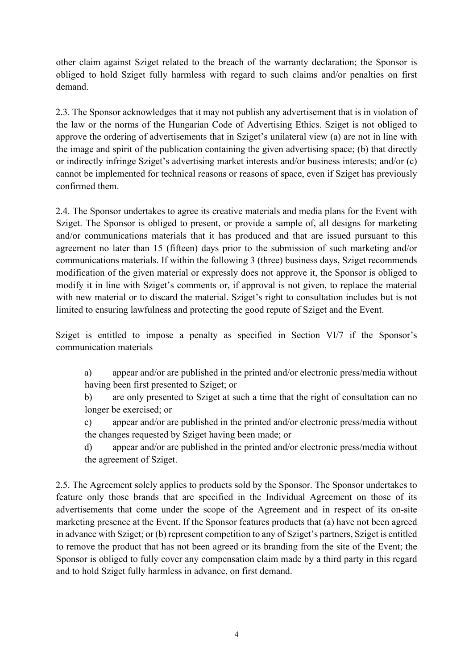other claim against Sziget related to the breach of the warranty declaration; the Sponsor is obliged to hold Sziget fully harmless with regard to such claims and/or penalties on first demand.

2.3. The Sponsor acknowledges that it may not publish any advertisement that is in violation of the law or the norms of the Hungarian Code of Advertising Ethics. Sziget is not obliged to approve the ordering of advertisements that in Sziget's unilateral view (a) are not in line with the image and spirit of the publication containing the given advertising space; (b) that directly or indirectly infringe Sziget's advertising market interests and/or business interests; and/or (c) cannot be implemented for technical reasons or reasons of space, even if Sziget has previously confirmed them.

2.4. The Sponsor undertakes to agree its creative materials and media plans for the Event with Sziget. The Sponsor is obliged to present, or provide a sample of, all designs for marketing and/or communications materials that it has produced and that are issued pursuant to this agreement no later than 15 (fifteen) days prior to the submission of such marketing and/or communications materials. If within the following 3 (three) business days, Sziget recommends modification of the given material or expressly does not approve it, the Sponsor is obliged to modify it in line with Sziget's comments or, if approval is not given, to replace the material with new material or to discard the material. Sziget's right to consultation includes but is not limited to ensuring lawfulness and protecting the good repute of Sziget and the Event.

Sziget is entitled to impose a penalty as specified in Section VI/7 if the Sponsor's communication materials

- a) appear and/or are published in the printed and/or electronic press/media without having been first presented to Sziget; or
- b) are only presented to Sziget at such a time that the right of consultation can no longer be exercised; or
- c) appear and/or are published in the printed and/or electronic press/media without the changes requested by Sziget having been made; or
- d) appear and/or are published in the printed and/or electronic press/media without the agreement of Sziget.

2.5. The Agreement solely applies to products sold by the Sponsor. The Sponsor undertakes to feature only those brands that are specified in the Individual Agreement on those of its advertisements that come under the scope of the Agreement and in respect of its on-site marketing presence at the Event. If the Sponsor features products that (a) have not been agreed in advance with Sziget; or (b) represent competition to any of Sziget's partners, Sziget is entitled to remove the product that has not been agreed or its branding from the site of the Event; the Sponsor is obliged to fully cover any compensation claim made by a third party in this regard and to hold Sziget fully harmless in advance, on first demand.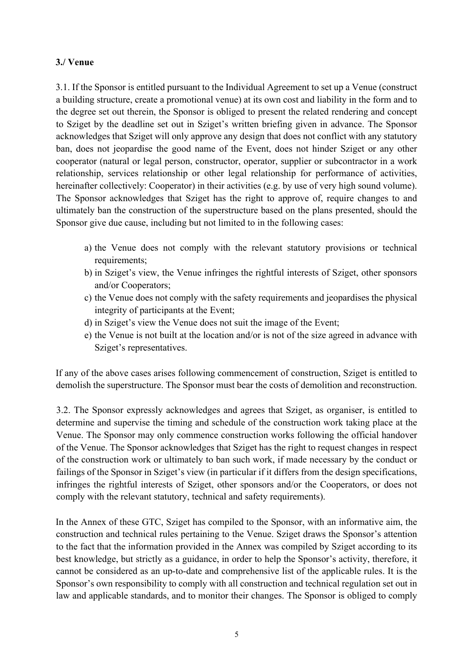#### **3./ Venue**

3.1. If the Sponsor is entitled pursuant to the Individual Agreement to set up a Venue (construct a building structure, create a promotional venue) at its own cost and liability in the form and to the degree set out therein, the Sponsor is obliged to present the related rendering and concept to Sziget by the deadline set out in Sziget's written briefing given in advance. The Sponsor acknowledges that Sziget will only approve any design that does not conflict with any statutory ban, does not jeopardise the good name of the Event, does not hinder Sziget or any other cooperator (natural or legal person, constructor, operator, supplier or subcontractor in a work relationship, services relationship or other legal relationship for performance of activities, hereinafter collectively: Cooperator) in their activities (e.g. by use of very high sound volume). The Sponsor acknowledges that Sziget has the right to approve of, require changes to and ultimately ban the construction of the superstructure based on the plans presented, should the Sponsor give due cause, including but not limited to in the following cases:

- a) the Venue does not comply with the relevant statutory provisions or technical requirements;
- b) in Sziget's view, the Venue infringes the rightful interests of Sziget, other sponsors and/or Cooperators;
- c) the Venue does not comply with the safety requirements and jeopardises the physical integrity of participants at the Event;
- d) in Sziget's view the Venue does not suit the image of the Event;
- e) the Venue is not built at the location and/or is not of the size agreed in advance with Sziget's representatives.

If any of the above cases arises following commencement of construction, Sziget is entitled to demolish the superstructure. The Sponsor must bear the costs of demolition and reconstruction.

3.2. The Sponsor expressly acknowledges and agrees that Sziget, as organiser, is entitled to determine and supervise the timing and schedule of the construction work taking place at the Venue. The Sponsor may only commence construction works following the official handover of the Venue. The Sponsor acknowledges that Sziget has the right to request changes in respect of the construction work or ultimately to ban such work, if made necessary by the conduct or failings of the Sponsor in Sziget's view (in particular if it differs from the design specifications, infringes the rightful interests of Sziget, other sponsors and/or the Cooperators, or does not comply with the relevant statutory, technical and safety requirements).

In the Annex of these GTC, Sziget has compiled to the Sponsor, with an informative aim, the construction and technical rules pertaining to the Venue. Sziget draws the Sponsor's attention to the fact that the information provided in the Annex was compiled by Sziget according to its best knowledge, but strictly as a guidance, in order to help the Sponsor's activity, therefore, it cannot be considered as an up-to-date and comprehensive list of the applicable rules. It is the Sponsor's own responsibility to comply with all construction and technical regulation set out in law and applicable standards, and to monitor their changes. The Sponsor is obliged to comply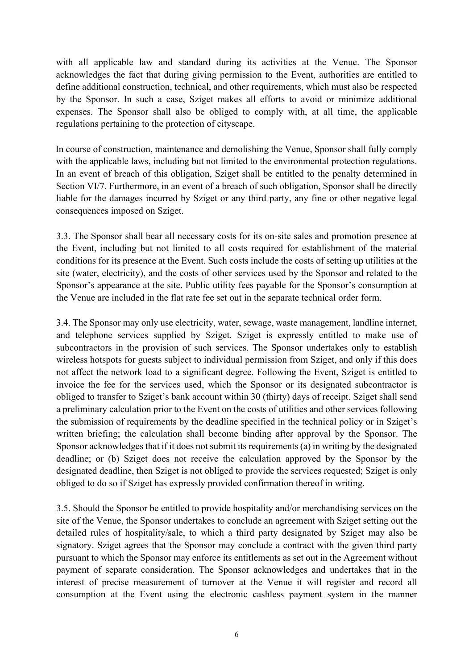with all applicable law and standard during its activities at the Venue. The Sponsor acknowledges the fact that during giving permission to the Event, authorities are entitled to define additional construction, technical, and other requirements, which must also be respected by the Sponsor. In such a case, Sziget makes all efforts to avoid or minimize additional expenses. The Sponsor shall also be obliged to comply with, at all time, the applicable regulations pertaining to the protection of cityscape.

In course of construction, maintenance and demolishing the Venue, Sponsor shall fully comply with the applicable laws, including but not limited to the environmental protection regulations. In an event of breach of this obligation, Sziget shall be entitled to the penalty determined in Section VI/7. Furthermore, in an event of a breach of such obligation, Sponsor shall be directly liable for the damages incurred by Sziget or any third party, any fine or other negative legal consequences imposed on Sziget.

3.3. The Sponsor shall bear all necessary costs for its on-site sales and promotion presence at the Event, including but not limited to all costs required for establishment of the material conditions for its presence at the Event. Such costs include the costs of setting up utilities at the site (water, electricity), and the costs of other services used by the Sponsor and related to the Sponsor's appearance at the site. Public utility fees payable for the Sponsor's consumption at the Venue are included in the flat rate fee set out in the separate technical order form.

3.4. The Sponsor may only use electricity, water, sewage, waste management, landline internet, and telephone services supplied by Sziget. Sziget is expressly entitled to make use of subcontractors in the provision of such services. The Sponsor undertakes only to establish wireless hotspots for guests subject to individual permission from Sziget, and only if this does not affect the network load to a significant degree. Following the Event, Sziget is entitled to invoice the fee for the services used, which the Sponsor or its designated subcontractor is obliged to transfer to Sziget's bank account within 30 (thirty) days of receipt. Sziget shall send a preliminary calculation prior to the Event on the costs of utilities and other services following the submission of requirements by the deadline specified in the technical policy or in Sziget's written briefing; the calculation shall become binding after approval by the Sponsor. The Sponsor acknowledges that if it does not submit its requirements (a) in writing by the designated deadline; or (b) Sziget does not receive the calculation approved by the Sponsor by the designated deadline, then Sziget is not obliged to provide the services requested; Sziget is only obliged to do so if Sziget has expressly provided confirmation thereof in writing.

3.5. Should the Sponsor be entitled to provide hospitality and/or merchandising services on the site of the Venue, the Sponsor undertakes to conclude an agreement with Sziget setting out the detailed rules of hospitality/sale, to which a third party designated by Sziget may also be signatory. Sziget agrees that the Sponsor may conclude a contract with the given third party pursuant to which the Sponsor may enforce its entitlements as set out in the Agreement without payment of separate consideration. The Sponsor acknowledges and undertakes that in the interest of precise measurement of turnover at the Venue it will register and record all consumption at the Event using the electronic cashless payment system in the manner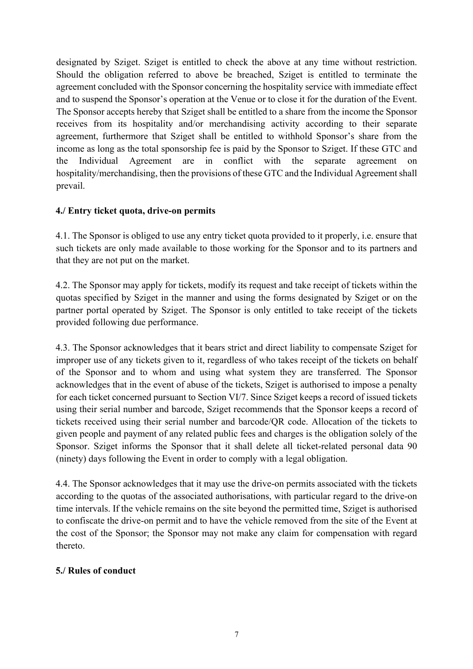designated by Sziget. Sziget is entitled to check the above at any time without restriction. Should the obligation referred to above be breached, Sziget is entitled to terminate the agreement concluded with the Sponsor concerning the hospitality service with immediate effect and to suspend the Sponsor's operation at the Venue or to close it for the duration of the Event. The Sponsor accepts hereby that Sziget shall be entitled to a share from the income the Sponsor receives from its hospitality and/or merchandising activity according to their separate agreement, furthermore that Sziget shall be entitled to withhold Sponsor's share from the income as long as the total sponsorship fee is paid by the Sponsor to Sziget. If these GTC and the Individual Agreement are in conflict with the separate agreement on hospitality/merchandising, then the provisions of these GTC and the Individual Agreement shall prevail.

## **4./ Entry ticket quota, drive-on permits**

4.1. The Sponsor is obliged to use any entry ticket quota provided to it properly, i.e. ensure that such tickets are only made available to those working for the Sponsor and to its partners and that they are not put on the market.

4.2. The Sponsor may apply for tickets, modify its request and take receipt of tickets within the quotas specified by Sziget in the manner and using the forms designated by Sziget or on the partner portal operated by Sziget. The Sponsor is only entitled to take receipt of the tickets provided following due performance.

4.3. The Sponsor acknowledges that it bears strict and direct liability to compensate Sziget for improper use of any tickets given to it, regardless of who takes receipt of the tickets on behalf of the Sponsor and to whom and using what system they are transferred. The Sponsor acknowledges that in the event of abuse of the tickets, Sziget is authorised to impose a penalty for each ticket concerned pursuant to Section VI/7. Since Sziget keeps a record of issued tickets using their serial number and barcode, Sziget recommends that the Sponsor keeps a record of tickets received using their serial number and barcode/QR code. Allocation of the tickets to given people and payment of any related public fees and charges is the obligation solely of the Sponsor. Sziget informs the Sponsor that it shall delete all ticket-related personal data 90 (ninety) days following the Event in order to comply with a legal obligation.

4.4. The Sponsor acknowledges that it may use the drive-on permits associated with the tickets according to the quotas of the associated authorisations, with particular regard to the drive-on time intervals. If the vehicle remains on the site beyond the permitted time, Sziget is authorised to confiscate the drive-on permit and to have the vehicle removed from the site of the Event at the cost of the Sponsor; the Sponsor may not make any claim for compensation with regard thereto.

#### **5./ Rules of conduct**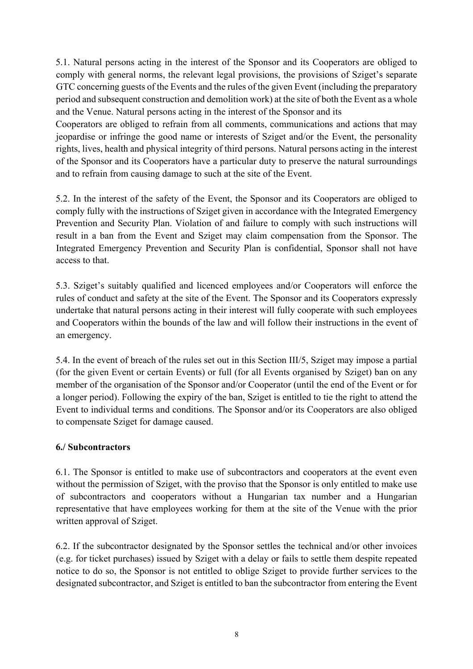5.1. Natural persons acting in the interest of the Sponsor and its Cooperators are obliged to comply with general norms, the relevant legal provisions, the provisions of Sziget's separate GTC concerning guests of the Events and the rules of the given Event (including the preparatory period and subsequent construction and demolition work) at the site of both the Event as a whole and the Venue. Natural persons acting in the interest of the Sponsor and its

Cooperators are obliged to refrain from all comments, communications and actions that may jeopardise or infringe the good name or interests of Sziget and/or the Event, the personality rights, lives, health and physical integrity of third persons. Natural persons acting in the interest of the Sponsor and its Cooperators have a particular duty to preserve the natural surroundings and to refrain from causing damage to such at the site of the Event.

5.2. In the interest of the safety of the Event, the Sponsor and its Cooperators are obliged to comply fully with the instructions of Sziget given in accordance with the Integrated Emergency Prevention and Security Plan. Violation of and failure to comply with such instructions will result in a ban from the Event and Sziget may claim compensation from the Sponsor. The Integrated Emergency Prevention and Security Plan is confidential, Sponsor shall not have access to that.

5.3. Sziget's suitably qualified and licenced employees and/or Cooperators will enforce the rules of conduct and safety at the site of the Event. The Sponsor and its Cooperators expressly undertake that natural persons acting in their interest will fully cooperate with such employees and Cooperators within the bounds of the law and will follow their instructions in the event of an emergency.

5.4. In the event of breach of the rules set out in this Section III/5, Sziget may impose a partial (for the given Event or certain Events) or full (for all Events organised by Sziget) ban on any member of the organisation of the Sponsor and/or Cooperator (until the end of the Event or for a longer period). Following the expiry of the ban, Sziget is entitled to tie the right to attend the Event to individual terms and conditions. The Sponsor and/or its Cooperators are also obliged to compensate Sziget for damage caused.

# **6./ Subcontractors**

6.1. The Sponsor is entitled to make use of subcontractors and cooperators at the event even without the permission of Sziget, with the proviso that the Sponsor is only entitled to make use of subcontractors and cooperators without a Hungarian tax number and a Hungarian representative that have employees working for them at the site of the Venue with the prior written approval of Sziget.

6.2. If the subcontractor designated by the Sponsor settles the technical and/or other invoices (e.g. for ticket purchases) issued by Sziget with a delay or fails to settle them despite repeated notice to do so, the Sponsor is not entitled to oblige Sziget to provide further services to the designated subcontractor, and Sziget is entitled to ban the subcontractor from entering the Event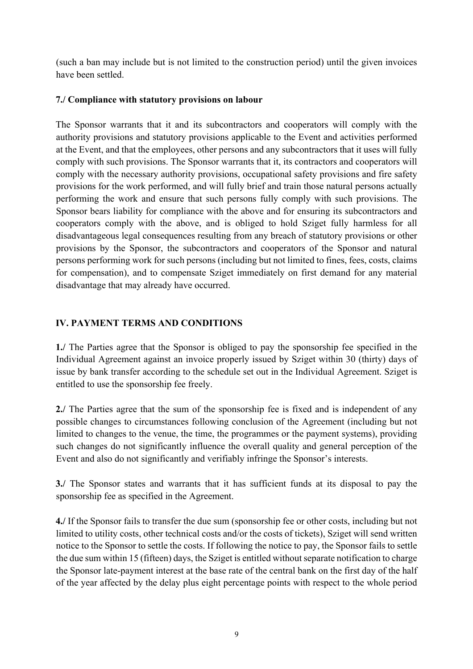(such a ban may include but is not limited to the construction period) until the given invoices have been settled.

#### **7./ Compliance with statutory provisions on labour**

The Sponsor warrants that it and its subcontractors and cooperators will comply with the authority provisions and statutory provisions applicable to the Event and activities performed at the Event, and that the employees, other persons and any subcontractors that it uses will fully comply with such provisions. The Sponsor warrants that it, its contractors and cooperators will comply with the necessary authority provisions, occupational safety provisions and fire safety provisions for the work performed, and will fully brief and train those natural persons actually performing the work and ensure that such persons fully comply with such provisions. The Sponsor bears liability for compliance with the above and for ensuring its subcontractors and cooperators comply with the above, and is obliged to hold Sziget fully harmless for all disadvantageous legal consequences resulting from any breach of statutory provisions or other provisions by the Sponsor, the subcontractors and cooperators of the Sponsor and natural persons performing work for such persons (including but not limited to fines, fees, costs, claims for compensation), and to compensate Sziget immediately on first demand for any material disadvantage that may already have occurred.

## **IV. PAYMENT TERMS AND CONDITIONS**

**1./** The Parties agree that the Sponsor is obliged to pay the sponsorship fee specified in the Individual Agreement against an invoice properly issued by Sziget within 30 (thirty) days of issue by bank transfer according to the schedule set out in the Individual Agreement. Sziget is entitled to use the sponsorship fee freely.

**2./** The Parties agree that the sum of the sponsorship fee is fixed and is independent of any possible changes to circumstances following conclusion of the Agreement (including but not limited to changes to the venue, the time, the programmes or the payment systems), providing such changes do not significantly influence the overall quality and general perception of the Event and also do not significantly and verifiably infringe the Sponsor's interests.

**3./** The Sponsor states and warrants that it has sufficient funds at its disposal to pay the sponsorship fee as specified in the Agreement.

**4./** If the Sponsor fails to transfer the due sum (sponsorship fee or other costs, including but not limited to utility costs, other technical costs and/or the costs of tickets), Sziget will send written notice to the Sponsor to settle the costs. If following the notice to pay, the Sponsor fails to settle the due sum within 15 (fifteen) days, the Sziget is entitled without separate notification to charge the Sponsor late-payment interest at the base rate of the central bank on the first day of the half of the year affected by the delay plus eight percentage points with respect to the whole period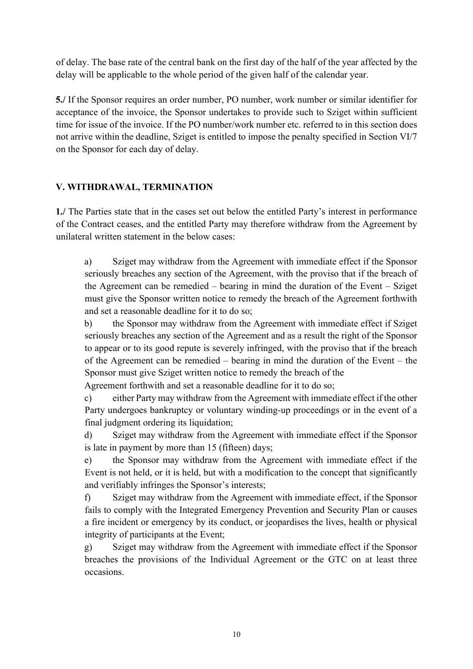of delay. The base rate of the central bank on the first day of the half of the year affected by the delay will be applicable to the whole period of the given half of the calendar year.

**5./** If the Sponsor requires an order number, PO number, work number or similar identifier for acceptance of the invoice, the Sponsor undertakes to provide such to Sziget within sufficient time for issue of the invoice. If the PO number/work number etc. referred to in this section does not arrive within the deadline, Sziget is entitled to impose the penalty specified in Section VI/7 on the Sponsor for each day of delay.

## **V. WITHDRAWAL, TERMINATION**

**1./** The Parties state that in the cases set out below the entitled Party's interest in performance of the Contract ceases, and the entitled Party may therefore withdraw from the Agreement by unilateral written statement in the below cases:

a) Sziget may withdraw from the Agreement with immediate effect if the Sponsor seriously breaches any section of the Agreement, with the proviso that if the breach of the Agreement can be remedied – bearing in mind the duration of the Event – Sziget must give the Sponsor written notice to remedy the breach of the Agreement forthwith and set a reasonable deadline for it to do so;

b) the Sponsor may withdraw from the Agreement with immediate effect if Sziget seriously breaches any section of the Agreement and as a result the right of the Sponsor to appear or to its good repute is severely infringed, with the proviso that if the breach of the Agreement can be remedied – bearing in mind the duration of the Event – the Sponsor must give Sziget written notice to remedy the breach of the

Agreement forthwith and set a reasonable deadline for it to do so;

c) either Party may withdraw from the Agreement with immediate effect if the other Party undergoes bankruptcy or voluntary winding-up proceedings or in the event of a final judgment ordering its liquidation;

d) Sziget may withdraw from the Agreement with immediate effect if the Sponsor is late in payment by more than 15 (fifteen) days;

e) the Sponsor may withdraw from the Agreement with immediate effect if the Event is not held, or it is held, but with a modification to the concept that significantly and verifiably infringes the Sponsor's interests;

f) Sziget may withdraw from the Agreement with immediate effect, if the Sponsor fails to comply with the Integrated Emergency Prevention and Security Plan or causes a fire incident or emergency by its conduct, or jeopardises the lives, health or physical integrity of participants at the Event;

g) Sziget may withdraw from the Agreement with immediate effect if the Sponsor breaches the provisions of the Individual Agreement or the GTC on at least three occasions.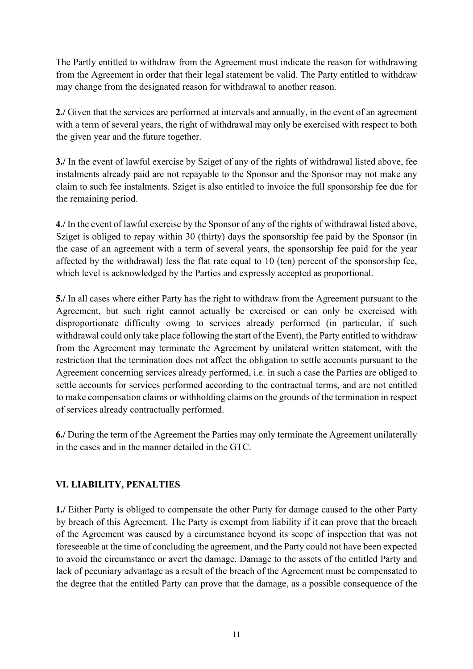The Partly entitled to withdraw from the Agreement must indicate the reason for withdrawing from the Agreement in order that their legal statement be valid. The Party entitled to withdraw may change from the designated reason for withdrawal to another reason.

**2./** Given that the services are performed at intervals and annually, in the event of an agreement with a term of several years, the right of withdrawal may only be exercised with respect to both the given year and the future together.

**3./** In the event of lawful exercise by Sziget of any of the rights of withdrawal listed above, fee instalments already paid are not repayable to the Sponsor and the Sponsor may not make any claim to such fee instalments. Sziget is also entitled to invoice the full sponsorship fee due for the remaining period.

**4./** In the event of lawful exercise by the Sponsor of any of the rights of withdrawal listed above, Sziget is obliged to repay within 30 (thirty) days the sponsorship fee paid by the Sponsor (in the case of an agreement with a term of several years, the sponsorship fee paid for the year affected by the withdrawal) less the flat rate equal to 10 (ten) percent of the sponsorship fee, which level is acknowledged by the Parties and expressly accepted as proportional.

**5./** In all cases where either Party has the right to withdraw from the Agreement pursuant to the Agreement, but such right cannot actually be exercised or can only be exercised with disproportionate difficulty owing to services already performed (in particular, if such withdrawal could only take place following the start of the Event), the Party entitled to withdraw from the Agreement may terminate the Agreement by unilateral written statement, with the restriction that the termination does not affect the obligation to settle accounts pursuant to the Agreement concerning services already performed, i.e. in such a case the Parties are obliged to settle accounts for services performed according to the contractual terms, and are not entitled to make compensation claims or withholding claims on the grounds of the termination in respect of services already contractually performed.

**6./** During the term of the Agreement the Parties may only terminate the Agreement unilaterally in the cases and in the manner detailed in the GTC.

# **VI. LIABILITY, PENALTIES**

**1./** Either Party is obliged to compensate the other Party for damage caused to the other Party by breach of this Agreement. The Party is exempt from liability if it can prove that the breach of the Agreement was caused by a circumstance beyond its scope of inspection that was not foreseeable at the time of concluding the agreement, and the Party could not have been expected to avoid the circumstance or avert the damage. Damage to the assets of the entitled Party and lack of pecuniary advantage as a result of the breach of the Agreement must be compensated to the degree that the entitled Party can prove that the damage, as a possible consequence of the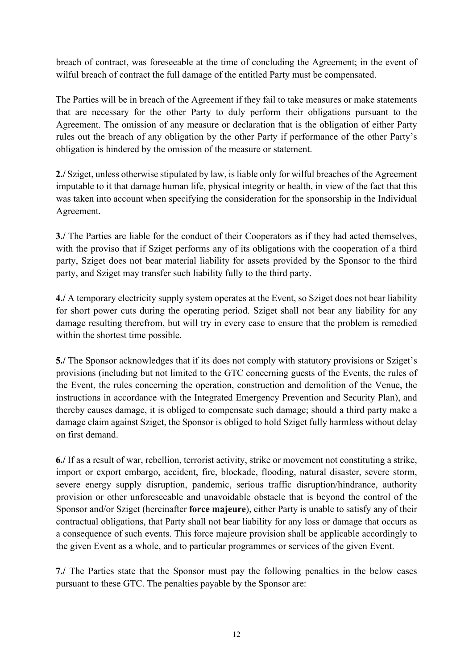breach of contract, was foreseeable at the time of concluding the Agreement; in the event of wilful breach of contract the full damage of the entitled Party must be compensated.

The Parties will be in breach of the Agreement if they fail to take measures or make statements that are necessary for the other Party to duly perform their obligations pursuant to the Agreement. The omission of any measure or declaration that is the obligation of either Party rules out the breach of any obligation by the other Party if performance of the other Party's obligation is hindered by the omission of the measure or statement.

**2./** Sziget, unless otherwise stipulated by law, is liable only for wilful breaches of the Agreement imputable to it that damage human life, physical integrity or health, in view of the fact that this was taken into account when specifying the consideration for the sponsorship in the Individual Agreement.

**3./** The Parties are liable for the conduct of their Cooperators as if they had acted themselves, with the proviso that if Sziget performs any of its obligations with the cooperation of a third party, Sziget does not bear material liability for assets provided by the Sponsor to the third party, and Sziget may transfer such liability fully to the third party.

**4./** A temporary electricity supply system operates at the Event, so Sziget does not bear liability for short power cuts during the operating period. Sziget shall not bear any liability for any damage resulting therefrom, but will try in every case to ensure that the problem is remedied within the shortest time possible.

**5./** The Sponsor acknowledges that if its does not comply with statutory provisions or Sziget's provisions (including but not limited to the GTC concerning guests of the Events, the rules of the Event, the rules concerning the operation, construction and demolition of the Venue, the instructions in accordance with the Integrated Emergency Prevention and Security Plan), and thereby causes damage, it is obliged to compensate such damage; should a third party make a damage claim against Sziget, the Sponsor is obliged to hold Sziget fully harmless without delay on first demand.

**6./** If as a result of war, rebellion, terrorist activity, strike or movement not constituting a strike, import or export embargo, accident, fire, blockade, flooding, natural disaster, severe storm, severe energy supply disruption, pandemic, serious traffic disruption/hindrance, authority provision or other unforeseeable and unavoidable obstacle that is beyond the control of the Sponsor and/or Sziget (hereinafter **force majeure**), either Party is unable to satisfy any of their contractual obligations, that Party shall not bear liability for any loss or damage that occurs as a consequence of such events. This force majeure provision shall be applicable accordingly to the given Event as a whole, and to particular programmes or services of the given Event.

**7./** The Parties state that the Sponsor must pay the following penalties in the below cases pursuant to these GTC. The penalties payable by the Sponsor are: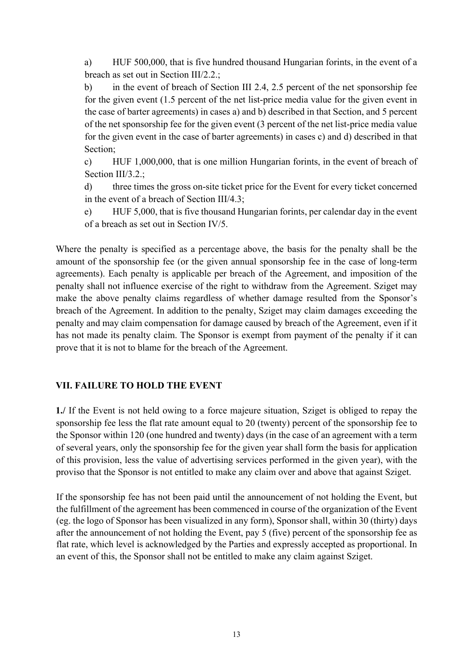a) HUF 500,000, that is five hundred thousand Hungarian forints, in the event of a breach as set out in Section III/2.2.;

b) in the event of breach of Section III 2.4, 2.5 percent of the net sponsorship fee for the given event (1.5 percent of the net list-price media value for the given event in the case of barter agreements) in cases a) and b) described in that Section, and 5 percent of the net sponsorship fee for the given event (3 percent of the net list-price media value for the given event in the case of barter agreements) in cases c) and d) described in that Section;

c) HUF 1,000,000, that is one million Hungarian forints, in the event of breach of Section III/3.2.:

d) three times the gross on-site ticket price for the Event for every ticket concerned in the event of a breach of Section III/4.3;

e) HUF 5,000, that is five thousand Hungarian forints, per calendar day in the event of a breach as set out in Section IV/5.

Where the penalty is specified as a percentage above, the basis for the penalty shall be the amount of the sponsorship fee (or the given annual sponsorship fee in the case of long-term agreements). Each penalty is applicable per breach of the Agreement, and imposition of the penalty shall not influence exercise of the right to withdraw from the Agreement. Sziget may make the above penalty claims regardless of whether damage resulted from the Sponsor's breach of the Agreement. In addition to the penalty, Sziget may claim damages exceeding the penalty and may claim compensation for damage caused by breach of the Agreement, even if it has not made its penalty claim. The Sponsor is exempt from payment of the penalty if it can prove that it is not to blame for the breach of the Agreement.

# **VII. FAILURE TO HOLD THE EVENT**

**1./** If the Event is not held owing to a force majeure situation, Sziget is obliged to repay the sponsorship fee less the flat rate amount equal to 20 (twenty) percent of the sponsorship fee to the Sponsor within 120 (one hundred and twenty) days (in the case of an agreement with a term of several years, only the sponsorship fee for the given year shall form the basis for application of this provision, less the value of advertising services performed in the given year), with the proviso that the Sponsor is not entitled to make any claim over and above that against Sziget.

If the sponsorship fee has not been paid until the announcement of not holding the Event, but the fulfillment of the agreement has been commenced in course of the organization of the Event (eg. the logo of Sponsor has been visualized in any form), Sponsor shall, within 30 (thirty) days after the announcement of not holding the Event, pay 5 (five) percent of the sponsorship fee as flat rate, which level is acknowledged by the Parties and expressly accepted as proportional. In an event of this, the Sponsor shall not be entitled to make any claim against Sziget.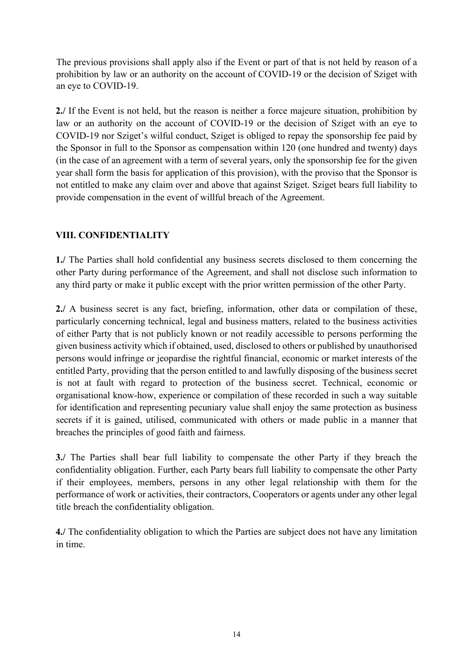The previous provisions shall apply also if the Event or part of that is not held by reason of a prohibition by law or an authority on the account of COVID-19 or the decision of Sziget with an eye to COVID-19.

**2./** If the Event is not held, but the reason is neither a force majeure situation, prohibition by law or an authority on the account of COVID-19 or the decision of Sziget with an eye to COVID-19 nor Sziget's wilful conduct, Sziget is obliged to repay the sponsorship fee paid by the Sponsor in full to the Sponsor as compensation within 120 (one hundred and twenty) days (in the case of an agreement with a term of several years, only the sponsorship fee for the given year shall form the basis for application of this provision), with the proviso that the Sponsor is not entitled to make any claim over and above that against Sziget. Sziget bears full liability to provide compensation in the event of willful breach of the Agreement.

# **VIII. CONFIDENTIALITY**

**1./** The Parties shall hold confidential any business secrets disclosed to them concerning the other Party during performance of the Agreement, and shall not disclose such information to any third party or make it public except with the prior written permission of the other Party.

**2./** A business secret is any fact, briefing, information, other data or compilation of these, particularly concerning technical, legal and business matters, related to the business activities of either Party that is not publicly known or not readily accessible to persons performing the given business activity which if obtained, used, disclosed to others or published by unauthorised persons would infringe or jeopardise the rightful financial, economic or market interests of the entitled Party, providing that the person entitled to and lawfully disposing of the business secret is not at fault with regard to protection of the business secret. Technical, economic or organisational know-how, experience or compilation of these recorded in such a way suitable for identification and representing pecuniary value shall enjoy the same protection as business secrets if it is gained, utilised, communicated with others or made public in a manner that breaches the principles of good faith and fairness.

**3./** The Parties shall bear full liability to compensate the other Party if they breach the confidentiality obligation. Further, each Party bears full liability to compensate the other Party if their employees, members, persons in any other legal relationship with them for the performance of work or activities, their contractors, Cooperators or agents under any other legal title breach the confidentiality obligation.

**4./** The confidentiality obligation to which the Parties are subject does not have any limitation in time.